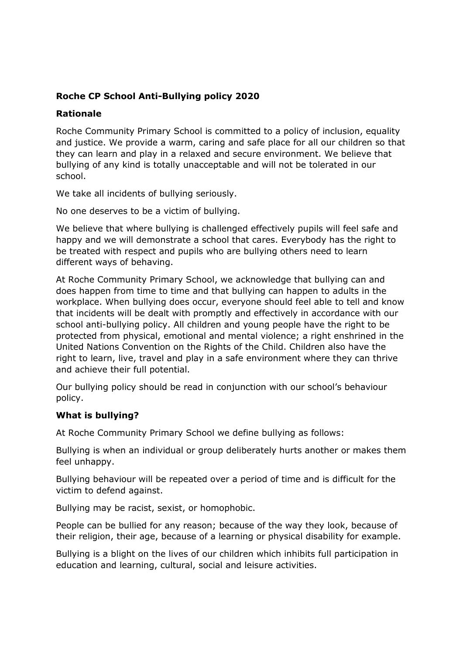## **Roche CP School Anti-Bullying policy 2020**

#### **Rationale**

Roche Community Primary School is committed to a policy of inclusion, equality and justice. We provide a warm, caring and safe place for all our children so that they can learn and play in a relaxed and secure environment. We believe that bullying of any kind is totally unacceptable and will not be tolerated in our school.

We take all incidents of bullying seriously.

No one deserves to be a victim of bullying.

We believe that where bullying is challenged effectively pupils will feel safe and happy and we will demonstrate a school that cares. Everybody has the right to be treated with respect and pupils who are bullying others need to learn different ways of behaving.

At Roche Community Primary School, we acknowledge that bullying can and does happen from time to time and that bullying can happen to adults in the workplace. When bullying does occur, everyone should feel able to tell and know that incidents will be dealt with promptly and effectively in accordance with our school anti-bullying policy. All children and young people have the right to be protected from physical, emotional and mental violence; a right enshrined in the United Nations Convention on the Rights of the Child. Children also have the right to learn, live, travel and play in a safe environment where they can thrive and achieve their full potential.

Our bullying policy should be read in conjunction with our school's behaviour policy.

#### **What is bullying?**

At Roche Community Primary School we define bullying as follows:

Bullying is when an individual or group deliberately hurts another or makes them feel unhappy.

Bullying behaviour will be repeated over a period of time and is difficult for the victim to defend against.

Bullying may be racist, sexist, or homophobic.

People can be bullied for any reason; because of the way they look, because of their religion, their age, because of a learning or physical disability for example.

Bullying is a blight on the lives of our children which inhibits full participation in education and learning, cultural, social and leisure activities.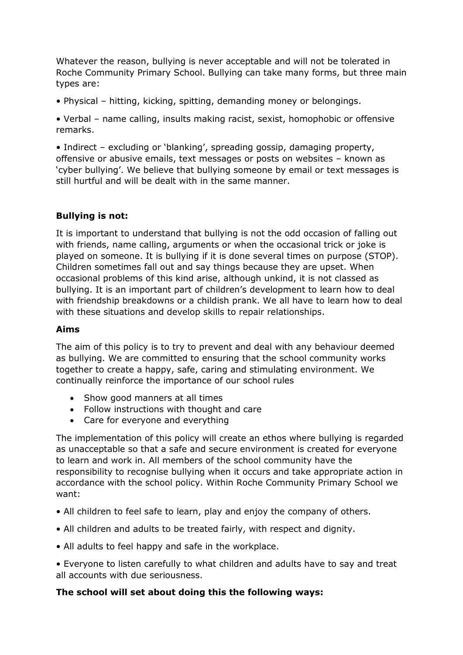Whatever the reason, bullying is never acceptable and will not be tolerated in Roche Community Primary School. Bullying can take many forms, but three main types are:

• Physical – hitting, kicking, spitting, demanding money or belongings.

• Verbal – name calling, insults making racist, sexist, homophobic or offensive remarks.

• Indirect – excluding or 'blanking', spreading gossip, damaging property, offensive or abusive emails, text messages or posts on websites – known as 'cyber bullying'. We believe that bullying someone by email or text messages is still hurtful and will be dealt with in the same manner.

### **Bullying is not:**

It is important to understand that bullying is not the odd occasion of falling out with friends, name calling, arguments or when the occasional trick or joke is played on someone. It is bullying if it is done several times on purpose (STOP). Children sometimes fall out and say things because they are upset. When occasional problems of this kind arise, although unkind, it is not classed as bullying. It is an important part of children's development to learn how to deal with friendship breakdowns or a childish prank. We all have to learn how to deal with these situations and develop skills to repair relationships.

#### **Aims**

The aim of this policy is to try to prevent and deal with any behaviour deemed as bullying. We are committed to ensuring that the school community works together to create a happy, safe, caring and stimulating environment. We continually reinforce the importance of our school rules

- Show good manners at all times
- Follow instructions with thought and care
- Care for everyone and everything

The implementation of this policy will create an ethos where bullying is regarded as unacceptable so that a safe and secure environment is created for everyone to learn and work in. All members of the school community have the responsibility to recognise bullying when it occurs and take appropriate action in accordance with the school policy. Within Roche Community Primary School we want:

- All children to feel safe to learn, play and enjoy the company of others.
- All children and adults to be treated fairly, with respect and dignity.
- All adults to feel happy and safe in the workplace.
- Everyone to listen carefully to what children and adults have to say and treat all accounts with due seriousness.

#### **The school will set about doing this the following ways:**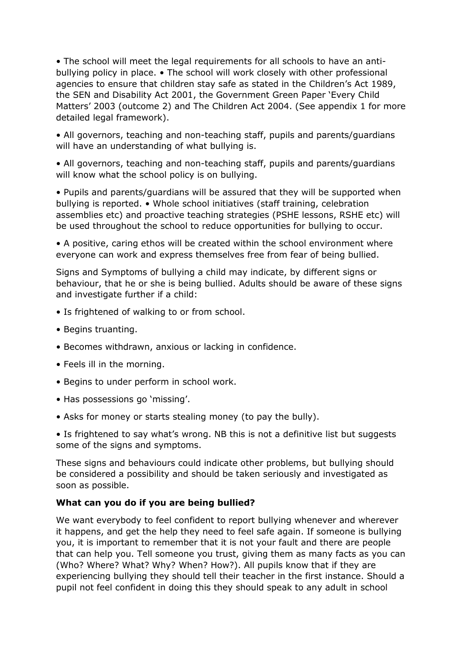• The school will meet the legal requirements for all schools to have an antibullying policy in place. • The school will work closely with other professional agencies to ensure that children stay safe as stated in the Children's Act 1989, the SEN and Disability Act 2001, the Government Green Paper 'Every Child Matters' 2003 (outcome 2) and The Children Act 2004. (See appendix 1 for more detailed legal framework).

• All governors, teaching and non-teaching staff, pupils and parents/guardians will have an understanding of what bullying is.

• All governors, teaching and non-teaching staff, pupils and parents/guardians will know what the school policy is on bullying.

• Pupils and parents/guardians will be assured that they will be supported when bullying is reported. • Whole school initiatives (staff training, celebration assemblies etc) and proactive teaching strategies (PSHE lessons, RSHE etc) will be used throughout the school to reduce opportunities for bullying to occur.

• A positive, caring ethos will be created within the school environment where everyone can work and express themselves free from fear of being bullied.

Signs and Symptoms of bullying a child may indicate, by different signs or behaviour, that he or she is being bullied. Adults should be aware of these signs and investigate further if a child:

- Is frightened of walking to or from school.
- Begins truanting.
- Becomes withdrawn, anxious or lacking in confidence.
- Feels ill in the morning.
- Begins to under perform in school work.
- Has possessions go 'missing'.
- Asks for money or starts stealing money (to pay the bully).

• Is frightened to say what's wrong. NB this is not a definitive list but suggests some of the signs and symptoms.

These signs and behaviours could indicate other problems, but bullying should be considered a possibility and should be taken seriously and investigated as soon as possible.

#### **What can you do if you are being bullied?**

We want everybody to feel confident to report bullying whenever and wherever it happens, and get the help they need to feel safe again. If someone is bullying you, it is important to remember that it is not your fault and there are people that can help you. Tell someone you trust, giving them as many facts as you can (Who? Where? What? Why? When? How?). All pupils know that if they are experiencing bullying they should tell their teacher in the first instance. Should a pupil not feel confident in doing this they should speak to any adult in school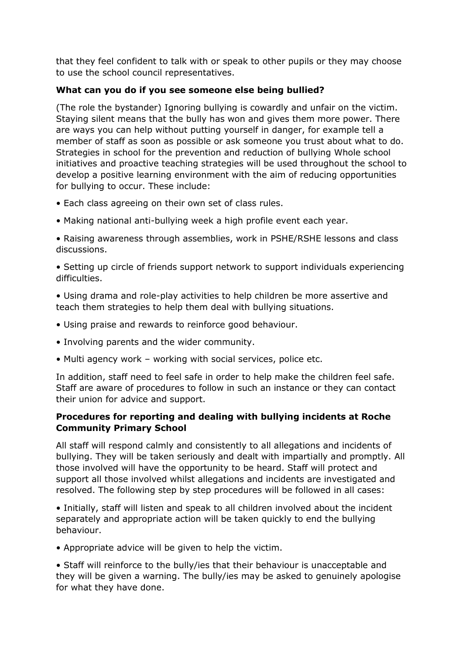that they feel confident to talk with or speak to other pupils or they may choose to use the school council representatives.

## **What can you do if you see someone else being bullied?**

(The role the bystander) Ignoring bullying is cowardly and unfair on the victim. Staying silent means that the bully has won and gives them more power. There are ways you can help without putting yourself in danger, for example tell a member of staff as soon as possible or ask someone you trust about what to do. Strategies in school for the prevention and reduction of bullying Whole school initiatives and proactive teaching strategies will be used throughout the school to develop a positive learning environment with the aim of reducing opportunities for bullying to occur. These include:

- Each class agreeing on their own set of class rules.
- Making national anti-bullying week a high profile event each year.
- Raising awareness through assemblies, work in PSHE/RSHE lessons and class discussions.

• Setting up circle of friends support network to support individuals experiencing difficulties.

• Using drama and role-play activities to help children be more assertive and teach them strategies to help them deal with bullying situations.

- Using praise and rewards to reinforce good behaviour.
- Involving parents and the wider community.
- Multi agency work working with social services, police etc.

In addition, staff need to feel safe in order to help make the children feel safe. Staff are aware of procedures to follow in such an instance or they can contact their union for advice and support.

# **Procedures for reporting and dealing with bullying incidents at Roche Community Primary School**

All staff will respond calmly and consistently to all allegations and incidents of bullying. They will be taken seriously and dealt with impartially and promptly. All those involved will have the opportunity to be heard. Staff will protect and support all those involved whilst allegations and incidents are investigated and resolved. The following step by step procedures will be followed in all cases:

• Initially, staff will listen and speak to all children involved about the incident separately and appropriate action will be taken quickly to end the bullying behaviour.

• Appropriate advice will be given to help the victim.

• Staff will reinforce to the bully/ies that their behaviour is unacceptable and they will be given a warning. The bully/ies may be asked to genuinely apologise for what they have done.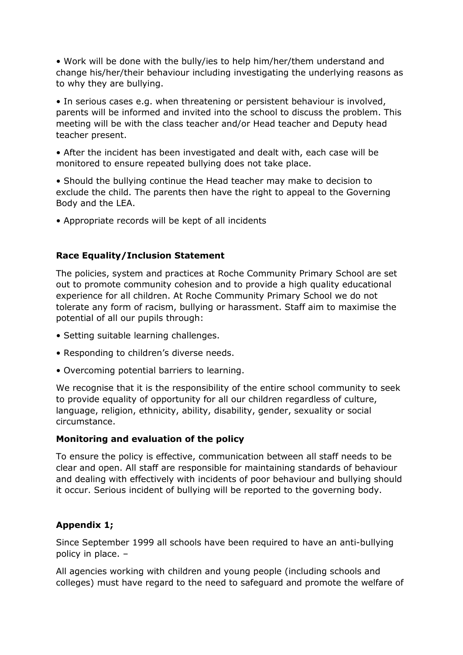• Work will be done with the bully/ies to help him/her/them understand and change his/her/their behaviour including investigating the underlying reasons as to why they are bullying.

• In serious cases e.g. when threatening or persistent behaviour is involved, parents will be informed and invited into the school to discuss the problem. This meeting will be with the class teacher and/or Head teacher and Deputy head teacher present.

• After the incident has been investigated and dealt with, each case will be monitored to ensure repeated bullying does not take place.

• Should the bullying continue the Head teacher may make to decision to exclude the child. The parents then have the right to appeal to the Governing Body and the LEA.

• Appropriate records will be kept of all incidents

#### **Race Equality/Inclusion Statement**

The policies, system and practices at Roche Community Primary School are set out to promote community cohesion and to provide a high quality educational experience for all children. At Roche Community Primary School we do not tolerate any form of racism, bullying or harassment. Staff aim to maximise the potential of all our pupils through:

- Setting suitable learning challenges.
- Responding to children's diverse needs.
- Overcoming potential barriers to learning.

We recognise that it is the responsibility of the entire school community to seek to provide equality of opportunity for all our children regardless of culture, language, religion, ethnicity, ability, disability, gender, sexuality or social circumstance.

#### **Monitoring and evaluation of the policy**

To ensure the policy is effective, communication between all staff needs to be clear and open. All staff are responsible for maintaining standards of behaviour and dealing with effectively with incidents of poor behaviour and bullying should it occur. Serious incident of bullying will be reported to the governing body.

# **Appendix 1;**

Since September 1999 all schools have been required to have an anti-bullying policy in place. –

All agencies working with children and young people (including schools and colleges) must have regard to the need to safeguard and promote the welfare of